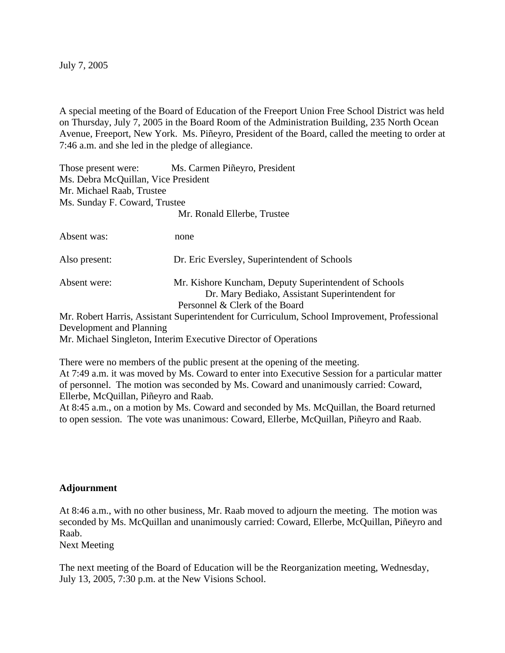July 7, 2005

A special meeting of the Board of Education of the Freeport Union Free School District was held on Thursday, July 7, 2005 in the Board Room of the Administration Building, 235 North Ocean Avenue, Freeport, New York. Ms. Piñeyro, President of the Board, called the meeting to order at 7:46 a.m. and she led in the pledge of allegiance.

Those present were: Ms. Carmen Piñeyro, President Ms. Debra McQuillan, Vice President Mr. Michael Raab, Trustee Ms. Sunday F. Coward, Trustee Mr. Ronald Ellerbe, Trustee

Absent was: none Also present: Dr. Eric Eversley, Superintendent of Schools Absent were: Mr. Kishore Kuncham, Deputy Superintendent of Schools Dr. Mary Bediako, Assistant Superintendent for Personnel & Clerk of the Board Mr. Robert Harris, Assistant Superintendent for Curriculum, School Improvement, Professional Development and Planning

Mr. Michael Singleton, Interim Executive Director of Operations

There were no members of the public present at the opening of the meeting. At 7:49 a.m. it was moved by Ms. Coward to enter into Executive Session for a particular matter of personnel. The motion was seconded by Ms. Coward and unanimously carried: Coward, Ellerbe, McQuillan, Piñeyro and Raab.

At 8:45 a.m., on a motion by Ms. Coward and seconded by Ms. McQuillan, the Board returned to open session. The vote was unanimous: Coward, Ellerbe, McQuillan, Piñeyro and Raab.

## **Adjournment**

At 8:46 a.m., with no other business, Mr. Raab moved to adjourn the meeting. The motion was seconded by Ms. McQuillan and unanimously carried: Coward, Ellerbe, McQuillan, Piñeyro and Raab.

Next Meeting

The next meeting of the Board of Education will be the Reorganization meeting, Wednesday, July 13, 2005, 7:30 p.m. at the New Visions School.